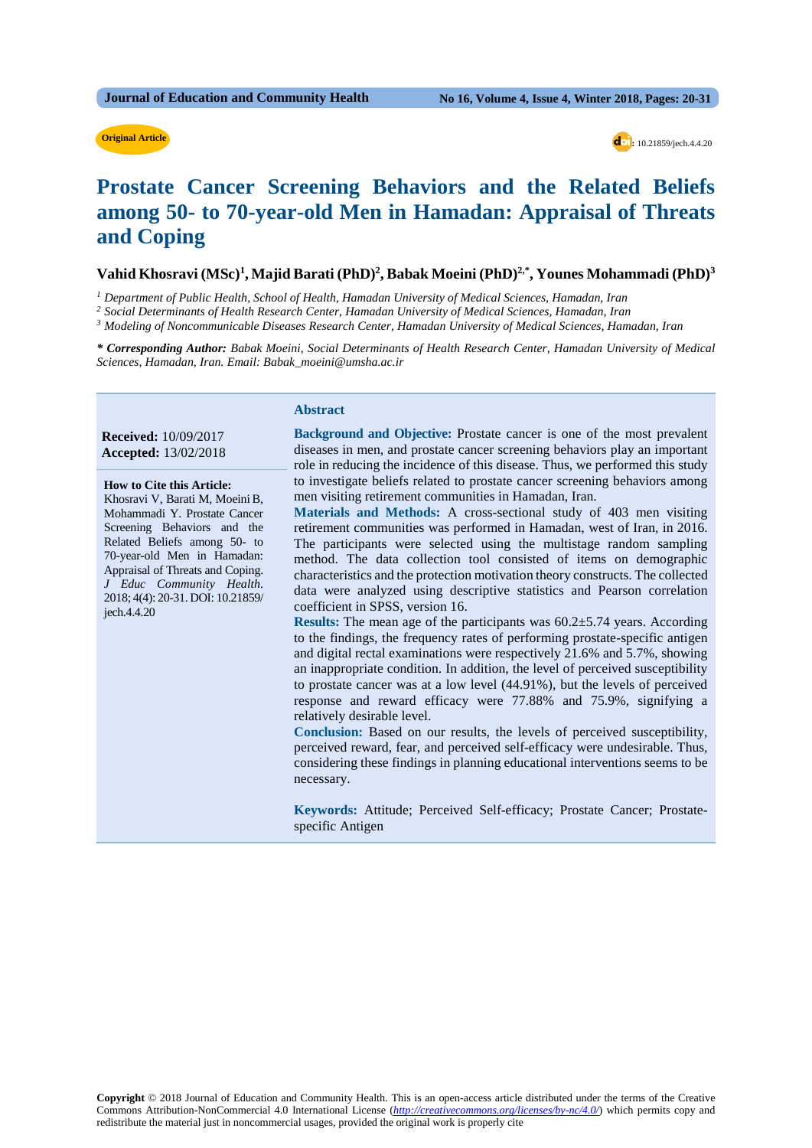#### **Original Article**

 **:** 10.21859/jech.4.4.20

## **Prostate Cancer Screening Behaviors and the Related Beliefs among 50- to 70-year-old Men in Hamadan: Appraisal of Threats and Coping**

#### Vahid Khosravi (MSc)<sup>1</sup>, Majid Barati (PhD)<sup>2</sup>, Babak Moeini (PhD)<sup>2,\*</sup>, Younes Mohammadi (PhD)<sup>3</sup>

*<sup>1</sup> Department of Public Health, School of Health, Hamadan University of Medical Sciences, Hamadan, Iran*

*<sup>2</sup> Social Determinants of Health Research Center, Hamadan University of Medical Sciences, Hamadan, Iran*

*\* Corresponding Author: Babak Moeini, Social Determinants of Health Research Center, Hamadan University of Medical Sciences, Hamadan, Iran. Email: Babak\_moeini@umsha.ac.ir*

### **Abstract**

**Received:** 10/09/2017 **Accepted:** 13/02/2018

 **How to Cite this Article:** Khosravi V, Barati M, MoeiniB, Mohammadi Y. Prostate Cancer Screening Behaviors and the Related Beliefs among 50- to 70-year-old Men in Hamadan: Appraisal of Threats and Coping. *J Educ Community Health*. 2018; 4(4): 20-31. DOI: 10.21859/ jech.4.4.20

**Background and Objective:** Prostate cancer is one of the most prevalent diseases in men, and prostate cancer screening behaviors play an important role in reducing the incidence of this disease. Thus, we performed this study to investigate beliefs related to prostate cancer screening behaviors among men visiting retirement communities in Hamadan, Iran.

**Materials and Methods:** A cross-sectional study of 403 men visiting retirement communities was performed in Hamadan, west of Iran, in 2016. The participants were selected using the multistage random sampling method. The data collection tool consisted of items on demographic characteristics and the protection motivation theory constructs. The collected data were analyzed using descriptive statistics and Pearson correlation coefficient in SPSS, version 16.

**Results:** The mean age of the participants was  $60.2 \pm 5.74$  years. According to the findings, the frequency rates of performing prostate-specific antigen and digital rectal examinations were respectively 21.6% and 5.7%, showing an inappropriate condition. In addition, the level of perceived susceptibility to prostate cancer was at a low level (44.91%), but the levels of perceived response and reward efficacy were 77.88% and 75.9%, signifying a relatively desirable level.

**Conclusion:** Based on our results, the levels of perceived susceptibility, perceived reward, fear, and perceived self-efficacy were undesirable. Thus, considering these findings in planning educational interventions seems to be necessary.

**Keywords:** Attitude; Perceived Self-efficacy; Prostate Cancer; Prostatespecific Antigen

*<sup>3</sup> Modeling of Noncommunicable Diseases Research Center, Hamadan University of Medical Sciences, Hamadan, Iran*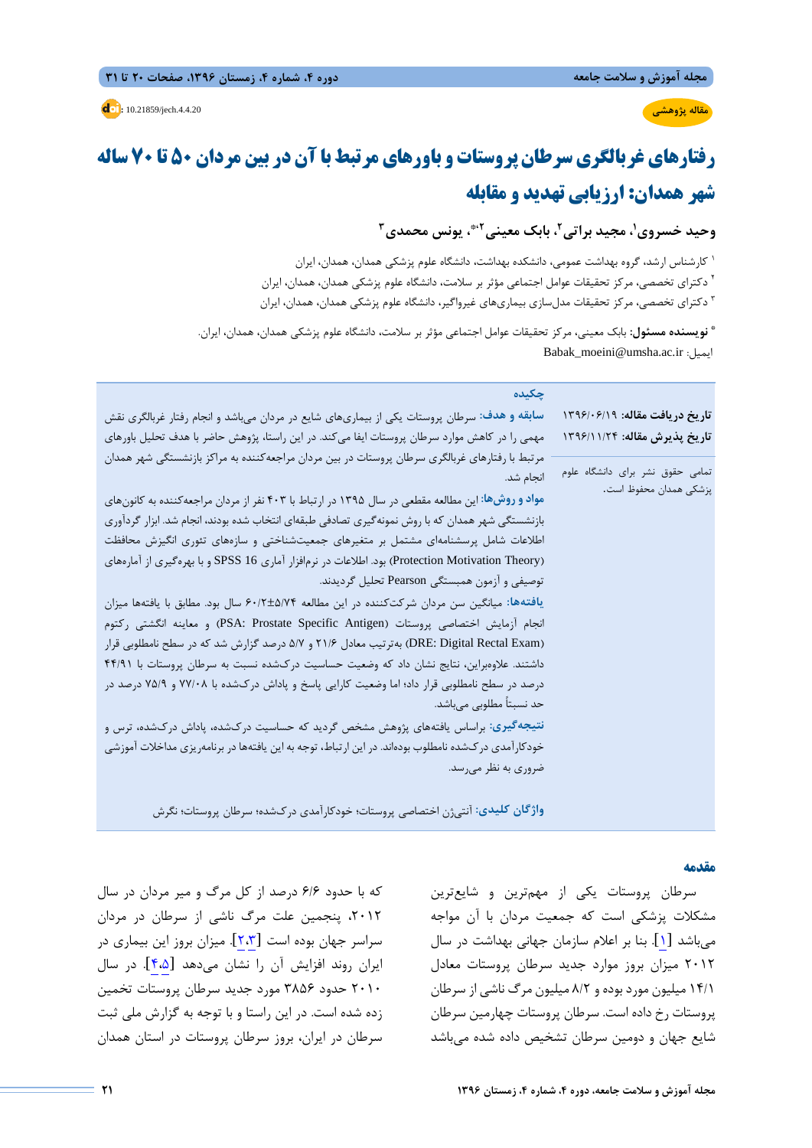**مقاله پژوهشی**

**مجله آموزش و سلامت جامعه دوره ،4 شماره ،4 زمستان ،1396 صفحات 20 تا 31** 

**d**: 10.21859/jech.4.4.20

# **رفتارهاي غربالگري سرطان پروستات و باورهاي مرتبط با آن در بین مردان 50 تا 70 ساله شهر همدان: ارزیابی تهدید و مقابله**

**،1 مجید براتی،2 بابک معینی،2\*، یونس محمدي3 وحید خسروي**

کارشناس ارشد، گروه بهداشت عمومی، دانشکده بهداشت، دانشگاه علوم پزشکی همدان، همدان، ایران <sup>1</sup> <sup>۲</sup> دکترای تخصصی، مرکز تحقیقات عوامل اجتماعی مؤثر بر سلامت، دانشگاه علوم پزشکی همدان، همدان، ایران دکتراي تخصصی، مرکز تحقیقات مدلسازي بیماريهاي غیرواگیر، دانشگاه علوم پزشکی همدان، همدان، ایران <sup>3</sup>

**نویسنده مسئول:** بابک معینی، مرکز تحقیقات عوامل اجتماعی مؤثر بر سلامت، دانشگاه علوم پزشکی همدان، همدان، ایران. **\*** Babak\_moeini@umsha.ac.ir :ایمیل

| چکیده<br>سابقه و هدف: سرطان پروستات یکی از بیماریهای شایع در مردان میباشد و انجام رفتار غربالگری نقش<br>مهمی را در کاهش موارد سرطان پروستات ایفا میکند. در این راستا، پژوهش حاضر با هدف تحلیل باورهای<br>مرتبط با رفتارهای غربالگری سرطان پروستات در بین مردان مراجعه کننده به مراکز بازنشستگی شهر همدان<br>انجام شد.<br>مواد و روشها: این مطالعه مقطعی در سال ۱۳۹۵ در ارتباط با ۴۰۳ نفر از مردان مراجعه کننده به کانونهای<br>بازنشستگی شهر همدان که با روش نمونهگیری تصادفی طبقهای انتخاب شده بودند، انجام شد. ابزار گردآوری<br>اطلاعات شامل پرسشنامهای مشتمل بر متغیرهای جمعیتشناختی و سازههای تئوری انگیزش محافظت<br>(Protection Motivation Theory) بود. اطلاعات در نرمافزار آماری SPSS 16 و با بهرهگیری از آمارههای<br>توصیفی و آزمون همبستگی Pearson تحلیل گردیدند.<br>یافتهها: میانگین سن مردان شرکتکننده در این مطالعه ۶۰/۲±۵/۷۴ سال بود. مطابق با یافتهها میزان<br>انجام آزمایش اختصاصی پروستات (PSA: Prostate Specific Antigen) و معاینه انگشتی رکتوم<br>(DRE: Digital Rectal Exam) بهترتیب معادل ۲۱/۶ و ۵/۷ درصد گزارش شد که در سطح نامطلوبی قرار<br>داشتند. علاوهبراین، نتایج نشان داد که وضعیت حساسیت درکشده نسبت به سرطان پروستات با ۴۴/۹۱<br>درصد در سطح نامطلوبی قرار داد؛ اما وضعیت کارایی پاسخ و پاداش درکشده با ۷۷/۰۸ و ۷۵/۹ درصد در<br>حد نسبتاً مطلوبی میباشد.<br>نتیجهگیری: براساس یافتههای پژوهش مشخص گردید که حساسیت درکشده، پاداش درکشده، ترس و<br>خودکار آمدی در کشده نامطلوب بودهاند. در این ارتباط، توجه به این یافتهها در برنامهریزی مداخلات آموزشی<br>ضروری به نظر میرسد. | تاریخ دریافت مقاله: ۱۳۹۶/۰۶/۱۹<br>تاريخ پذيرش مقاله: ١٣٩۶/١١/٢٤<br>تمامی حقوق نشر برای دانشگاه علوم<br>پزشکی همدان محفوظ است. |
|--------------------------------------------------------------------------------------------------------------------------------------------------------------------------------------------------------------------------------------------------------------------------------------------------------------------------------------------------------------------------------------------------------------------------------------------------------------------------------------------------------------------------------------------------------------------------------------------------------------------------------------------------------------------------------------------------------------------------------------------------------------------------------------------------------------------------------------------------------------------------------------------------------------------------------------------------------------------------------------------------------------------------------------------------------------------------------------------------------------------------------------------------------------------------------------------------------------------------------------------------------------------------------------------------------------------------------------------------------------------------------------------------------------------------------------------------------------------------------------------------------|-------------------------------------------------------------------------------------------------------------------------------|
|                                                                                                                                                                                                                                                                                                                                                                                                                                                                                                                                                                                                                                                                                                                                                                                                                                                                                                                                                                                                                                                                                                                                                                                                                                                                                                                                                                                                                                                                                                        |                                                                                                                               |

**واژگان کلیدي:** آنتیژن اختصاصی پروستات؛ خودکارآمدي دركشده؛ سرطان پروستات؛ نگرش

#### **مقدمه**

سرطان پروستات یکی از مهمترین و شایعترین مشکلات پزشکی است که جمعیت مردان با آن مواجه میباشد [\[](#page-10-0)[1](#page-10-0)]. بنا بر اعلام سازمان جهانی بهداشت در سال 2012 میزان بروز موارد جدید سرطان پروستات معادل 14/1 میلیون مورد بوده و 8/2 میلیون مرگ ناشی از سرطان پروستات رخ داده است. سرطان پروستات چهارمین سرطان شایع جهان و دومین سرطان تشخیص داده شده میباشد

که با حدود 6/6 درصد از کل مرگ و میر مردان در سال ،2012 پنجمین علت مرگ ناشی از سرطان در مردان سراسر جهان بوده است [\[](#page-10-2)[2،](#page-10-2)[3](#page-10-1)]. میزان بروز این بیماري در ایران روند افزایش آن را نشان میدهد [\[](#page-10-4)[4](#page-10-4)[،5](#page-10-3)]. در سال 2010 حدود 3856 مورد جدید سرطان پروستات تخمین زده شده است. در این راستا و با توجه به گزارش ملی ثبت سرطان در ایران، بروز سرطان پروستات در استان همدان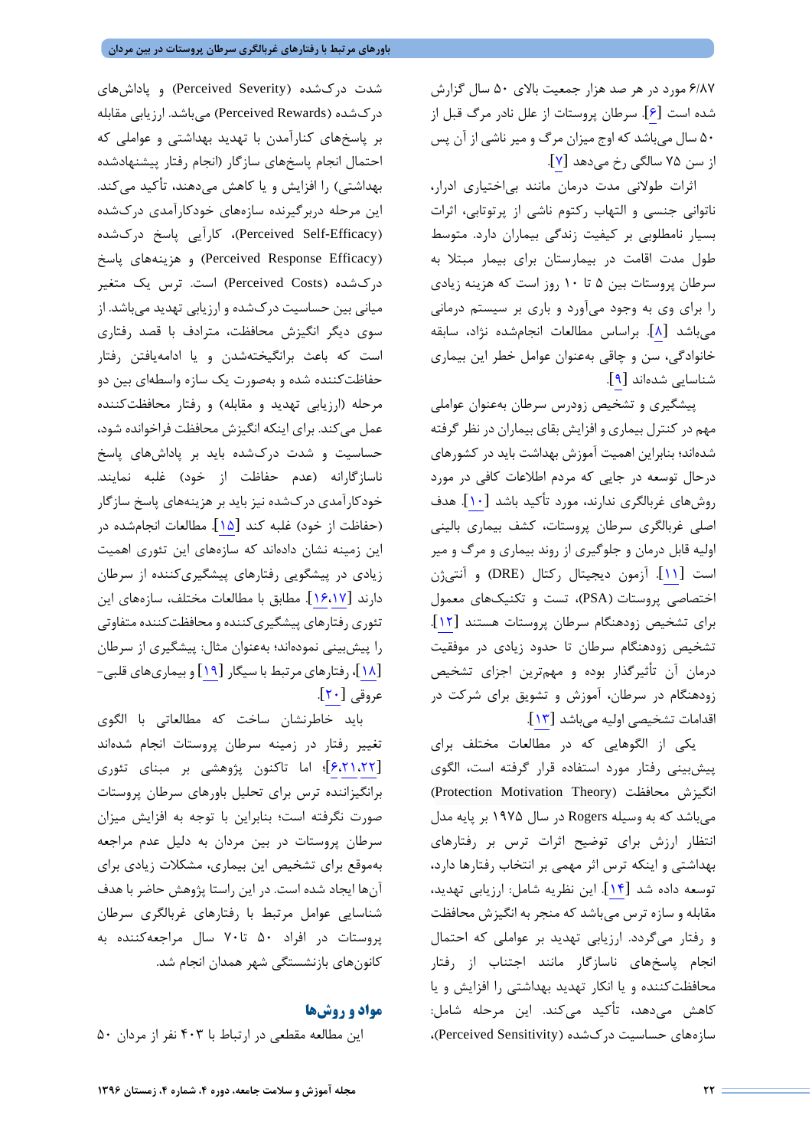6/87 مورد در هر صد هزار جمعیت بالاي 50 سال گزارش شده است [\[](#page-10-5)[6](#page-10-5)]. سرطان پروستات از علل نادر مرگ قبل از 50 سال میباشد که اوج میزان مرگ و میر ناشی از آن پس ازسن ۷۵ سالگی رخ میدهد [۷].

اثرات طولانی مدت درمان مانند بیاختیاري ادرار، ناتوانی جنسی و التهاب رکتوم ناشی از پرتوتابی، اثرات بسیار نامطلوبی بر کیفیت زندگی بیماران دارد. متوسط طول مدت اقامت در بیمارستان براي بیمار مبتلا به سرطان پروستات بین 5 تا 10 روز است که هزینه زیادي را براي وي به وجود میآورد و باري بر سیستم درمانی میباشد [\[](#page-10-7)[8](#page-10-7)]. براساس مطالعات انجامشده نژاد، سابقه خانوادگی، سن و چاقی بهعنوان عوامل خطر این بیماري شناسایی شدهاند[[9](#page-10-8)].

پیشگیري و تشخیص زودرس سرطان بهعنوان عواملی مهم در کنترل بیماري و افزایش بقاي بیماران در نظر گرفته شدهاند؛ بنابراین اهمیت آموزش بهداشت باید در کشورهاي درحال توسعه در جایی که مردم اطلاعات کافی در مورد روشهاي غربالگري ندارند، مورد تأکید باشد [\[](#page-10-9)[10](#page-10-9)]. هدف اصلی غربالگري سرطان پروستات، کشف بیماري بالینی اولیه قابل درمان و جلوگیري از روند بیماري و مرگ و میر است[[11](#page-10-10)]. آزمون دیجیتال رکتال (DRE (و آنتیژن اختصاصی پروستات (PSA(، تست و تکنیکهاي معمول براي تشخیص زودهنگام سرطان پروستات هستند [\[](#page-10-11)[12](#page-10-11)]. تشخیص زودهنگام سرطان تا حدود زیادي در موفقیت درمان آن تأثیرگذار بوده و مهمترین اجزاي تشخیص زودهنگام در سرطان، آموزش و تشویق براي شرکت در اقدامات تشخیصی اولیه میباشد [\[](#page-10-12)[13](#page-10-12)].

یکی از الگوهایی که در مطالعات مختلف براي پیشبینی رفتار مورد استفاده قرار گرفته است، الگوي (Protection Motivation Theory) محافظت انگیزش میباشد که به وسیله Rogers در سال 1975 بر پایه مدل انتظار ارزش براي توضیح اثرات ترس بر رفتارهاي بهداشتی و اینکه ترس اثر مهمی بر انتخاب رفتارها دارد، توسعه داده شد[[14](#page-10-13)]. این نظریه شامل: ارزیابی تهدید، مقابله و سازه ترس میباشد که منجر به انگیزش محافظت و رفتار میگردد. ارزیابی تهدید بر عواملی که احتمال انجام پاسخهاي ناسازگار مانند اجتناب از رفتار محافظتکننده و یا انکار تهدید بهداشتی را افزایش و یا کاهش میدهد، تأکید میکند. این مرحله شامل: سازههاي حساسیت دركشده (Sensitivity Perceived(،

شدت دركشده (Severity Perceived (و پاداشهاي دركشده (Rewards Perceived (میباشد. ارزیابی مقابله بر پاسخهاي کنارآمدن با تهدید بهداشتی و عواملی که احتمال انجام پاسخهاي سازگار (انجام رفتار پیشنهادشده بهداشتی) را افزایش و یا کاهش میدهند، تأکید میکند. این مرحله دربرگیرنده سازههاي خودکارآمدي دركشده (Perceived Self-Efficacy)، کارآیی پاسخ درکشده (Perceived Response Efficacy) و هزینههاي پاسخ دركشده (Costs Perceived (است. ترس یک متغیر میانی بین حساسیت دركشده و ارزیابی تهدید میباشد. از سوي دیگر انگیزش محافظت، مترادف با قصد رفتاري است که باعث برانگیختهشدن و یا ادامهیافتن رفتار حفاظتکننده شده و بهصورت یک سازه واسطهاي بین دو مرحله (ارزیابی تهدید و مقابله) و رفتار محافظتکننده عمل میکند. براي اینکه انگیزش محافظت فراخوانده شود، حساسیت و شدت دركشده باید بر پاداشهاي پاسخ ناسازگارانه (عدم حفاظت از خود) غلبه نمایند. خودکارآمدي دركشده نیز باید بر هزینههاي پاسخ سازگار (حفاظت از خود) غلبه کند [\[](#page-10-14)[15](#page-10-14)]. مطالعات انجامشده در این زمینه نشان دادهاند که سازههاي این تئوري اهمیت زیادي در پیشگویی رفتارهاي پیشگیريکننده از سرطان دارند[[16،](#page-10-16)[17](#page-10-15)]. مطابق با مطالعات مختلف، سازههاي این تئوري رفتارهاي پیشگیريکننده و محافظتکننده متفاوتی را پیشبینی نمودهاند؛ بهعنوان مثال: پیشگیري از سرطان [\[](#page-10-17)[18](#page-10-17)]، رفتارهاي مرتبط با سیگار [\[](#page-10-18)[19](#page-10-18)] و بیماريهاي قلبی- عروقی  $[7 \cdot]$  $[7 \cdot]$ .

باید خاطرنشان ساخت که مطالعاتی با الگوي تغییر رفتار در زمینه سرطان پروستات انجام شدهاند [\[](#page-10-21)[6](#page-10-21)[،21](#page-10-20)[،22](#page-10-5)]؛ اما تاکنون پژوهشی بر مبناي تئوري برانگیزاننده ترس براي تحلیل باورهاي سرطان پروستات صورت نگرفته است؛ بنابراین با توجه به افزایش میزان سرطان پروستات در بین مردان به دلیل عدم مراجعه بهموقع براي تشخیص این بیماري، مشکلات زیادي براي آنها ایجاد شده است. در این راستا پژوهش حاضر با هدف شناسایی عوامل مرتبط با رفتارهاي غربالگري سرطان پروستات در افراد 50 تا70 سال مراجعهکننده به کانونهاي بازنشستگی شهر همدان انجام شد.

#### **مواد و روشها**

این مطالعه مقطعی در ارتباط با 403 نفر از مردان 50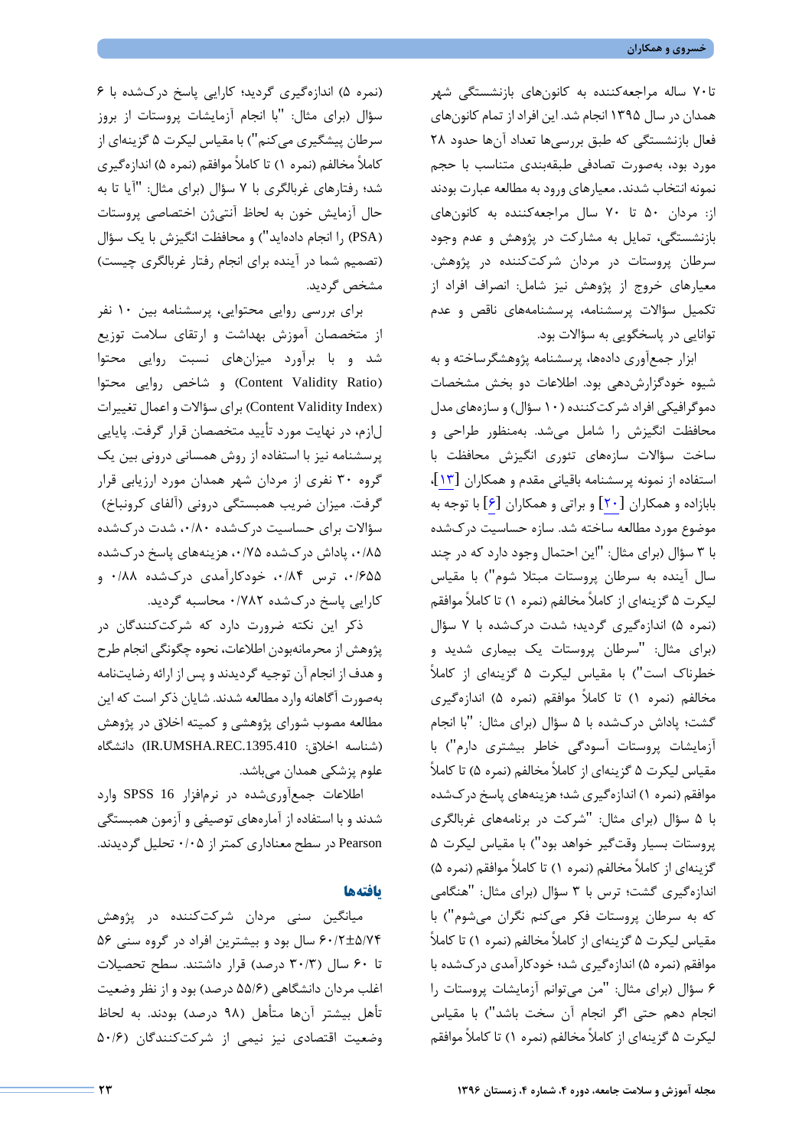تا70 ساله مراجعهکننده به کانونهاي بازنشستگی شهر همدان در سال 1395 انجام شد. این افراد از تمام کانونهاي فعال بازنشستگی که طبق بررسیها تعداد آنها حدود 28 مورد بود، بهصورت تصادفی طبقهبندي متناسب با حجم نمونه انتخاب شدند. معیارهاي ورود به مطالعه عبارت بودند از: مردان 50 تا 70 سال مراجعهکننده به کانونهاي بازنشستگی، تمایل به مشارکت در پژوهش و عدم وجود سرطان پروستات در مردان شرکتکننده در پژوهش. معیارهاي خروج از پژوهش نیز شامل: انصراف افراد از تکمیل سؤالات پرسشنامه، پرسشنامههاي ناقص و عدم توانایی در پاسخگویی به سؤالات بود.

ابزار جمعآوري دادهها، پرسشنامه پژوهشگرساخته و به شیوه خودگزارشدهی بود. اطلاعات دو بخش مشخصات دموگرافیکی افراد شرکتکننده (10 سؤال) و سازههاي مدل محافظت انگیزش را شامل میشد. بهمنظور طراحی و ساخت سؤالات سازههاي تئوري انگیزش محافظت با استفاده از نمونه پرسشنامه باقیانی مقدم و همکاران [\[](#page-10-12)[13](#page-10-12)]، بابازاده و همکاران [\[](#page-10-19)[20](#page-10-19)] و براتی و همکاران[[6](#page-10-5)] با توجه به موضوع مورد مطالعه ساخته شد. سازه حساسیت دركشده با 3 سؤال (براي مثال: "این احتمال وجود دارد که در چند سال آینده به سرطان پروستات مبتلا شوم") با مقیاس لیکرت 5 گزینهاي از کاملاً مخالفم (نمره 1) تا کاملاً موافقم (نمره 5) اندازهگیري گردید؛ شدت دركشده با 7 سؤال (براي مثال: "سرطان پروستات یک بیماري شدید و خطرناك است") با مقیاس لیکرت 5 گزینهاي از کاملاً مخالفم (نمره 1) تا کاملاً موافقم (نمره 5) اندازهگیري گشت؛ پاداش دركشده با 5 سؤال (براي مثال: "با انجام آزمایشات پروستات آسودگی خاطر بیشتري دارم") با مقیاس لیکرت 5 گزینهاي از کاملاً مخالفم (نمره 5) تا کاملاً موافقم (نمره 1) اندازهگیري شد؛ هزینههاي پاسخ دركشده با 5 سؤال (براي مثال: "شرکت در برنامههاي غربالگري پروستات بسیار وقتگیر خواهد بود") با مقیاس لیکرت 5 گزینهاي از کاملاً مخالفم (نمره 1) تا کاملاً موافقم (نمره 5) اندازهگیري گشت؛ ترس با 3 سؤال (براي مثال: "هنگامی که به سرطان پروستات فکر میکنم نگران میشوم") با مقیاس لیکرت 5 گزینهاي از کاملاً مخالفم (نمره 1) تا کاملاً موافقم (نمره 5) اندازهگیري شد؛ خودکارآمدي دركشده با 6 سؤال (براي مثال: "من میتوانم آزمایشات پروستات را انجام دهم حتی اگر انجام آن سخت باشد") با مقیاس لیکرت 5 گزینهاي از کاملاً مخالفم (نمره 1) تا کاملاً موافقم

(نمره 5) اندازهگیري گردید؛ کارایی پاسخ دركشده با 6 سؤال (براي مثال: "با انجام آزمایشات پروستات از بروز سرطان پیشگیري میکنم") با مقیاس لیکرت 5 گزینهاي از کاملاً مخالفم (نمره 1) تا کاملاً موافقم (نمره 5) اندازهگیري شد؛ رفتارهاي غربالگري با 7 سؤال (براي مثال: "آیا تا به حال آزمایش خون به لحاظ آنتیژن اختصاصی پروستات (PSA (را انجام دادهاید") و محافظت انگیزش با یک سؤال (تصمیم شما در آینده براي انجام رفتار غربالگري چیست) مشخص گردید.

براي بررسی روایی محتوایی، پرسشنامه بین 10 نفر از متخصصان آموزش بهداشت و ارتقاي سلامت توزیع شد و با برآورد میزانهاي نسبت روایی محتوا (Content Validity Ratio) و شاخص روایی محتوا (Index Validity Content (براي سؤالات و اعمال تغییرات لازم، در نهایت مورد تأیید متخصصان قرار گرفت. پایایی پرسشنامه نیز با استفاده از روش همسانی درونی بین یک گروه 30 نفري از مردان شهر همدان مورد ارزیابی قرار گرفت. میزان ضریب همبستگی درونی (آلفاي کرونباخ) سؤالات براي حساسیت دركشده ،0/80 شدت دركشده ،0/85 پاداش دركشده ،0/75 هزینههاي پاسخ دركشده ۰/۶۵۵ ترس ۰/۸۴ خودکارآمدي درکشده ۰/۸۸ و کارایی پاسخ دركشده 0/782 محاسبه گردید.

ذکر این نکته ضرورت دارد که شرکتکنندگان در پژوهش از محرمانهبودن اطلاعات، نحوه چگونگی انجام طرح و هدف از انجام آن توجیه گردیدند و پس از ارائه رضایتنامه بهصورت آگاهانه وارد مطالعه شدند. شایان ذکر است که این مطالعه مصوب شوراي پژوهشی و کمیته اخلاق در پژوهش (شناسه اخلاق: .1395.410REC.UMSHA.IR (دانشگاه علوم پزشکی همدان میباشد.

اطلاعات جمعآوريشده در نرمافزار 16 SPSS وارد شدند و با استفاده از آمارههاي توصیفی و آزمون همبستگی Pearson در سطح معناداري کمتر از 0/05 تحلیل گردیدند.

#### **یافتهها**

میانگین سنی مردان شرکتکننده در پژوهش 60/2±5/74 سال بود و بیشترین افراد در گروه سنی 56 تا 60 سال (30/3 درصد) قرار داشتند. سطح تحصیلات اغلب مردان دانشگاهی (55/6 درصد) بود و از نظر وضعیت تأهل بیشتر آنها متأهل (98 درصد) بودند. به لحاظ وضعیت اقتصادي نیز نیمی از شرکتکنندگان (50/6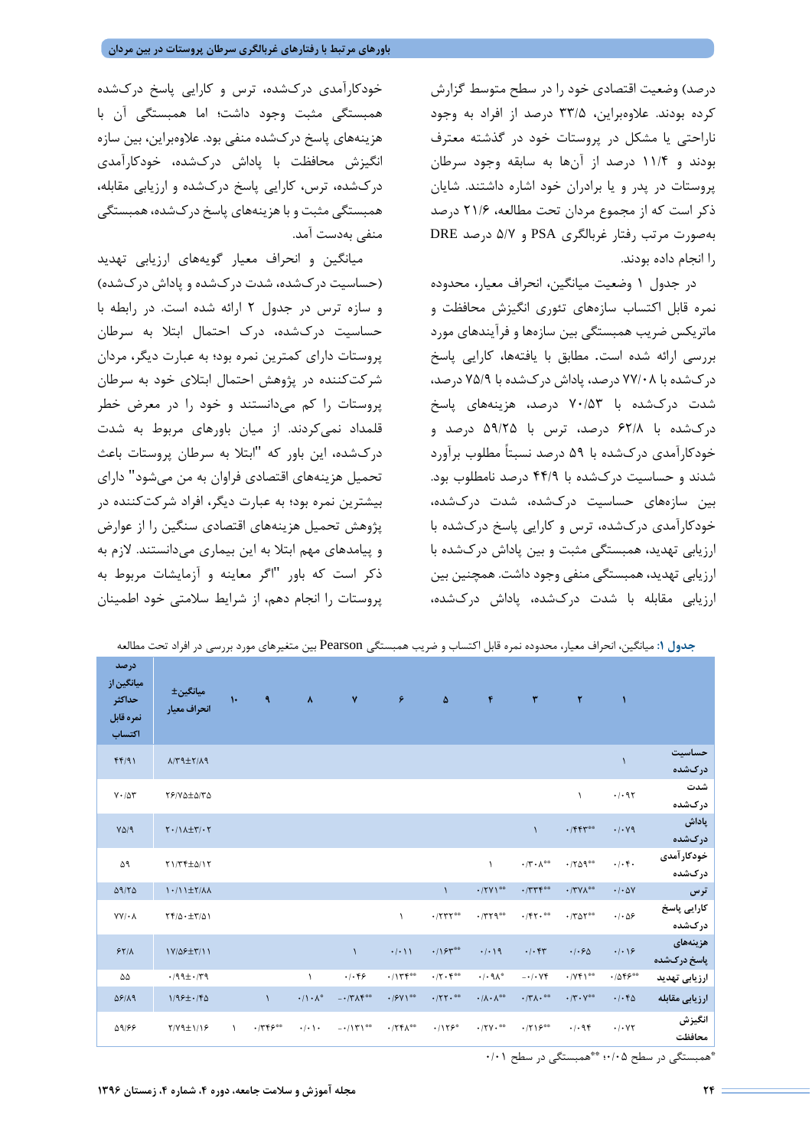درصد) وضعیت اقتصادي خود را در سطح متوسط گزارش کرده بودند. علاوهبراین، 33/5 درصد از افراد به وجود ناراحتی یا مشکل در پروستات خود در گذشته معترف بودند و 11/4 درصد از آنها به سابقه وجود سرطان پروستات در پدر و یا برادران خود اشاره داشتند. شایان ذکر است که از مجموع مردان تحت مطالعه، 21/6 درصد بهصورت مرتب رفتار غربالگري PSA و 5/7 درصد DRE را انجام داده بودند.

در جدول 1 وضعیت میانگین، انحراف معیار، محدوده نمره قابل اکتساب سازههاي تئوري انگیزش محافظت و ماتریکس ضریب همبستگی بین سازهها و فرآیندهاي مورد بررسی ارائه شده است. مطابق با یافتهها، کارایی پاسخ دركشده با 77/08 درصد، پاداش دركشده با 75/9 درصد، شدت دركشده با 70/53 درصد، هزینههاي پاسخ دركشده با 62/8 درصد، ترس با 59/25 درصد و خودکارآمدي دركشده با 59 درصد نسبتاً مطلوب برآورد شدند و حساسیت دركشده با 44/9 درصد نامطلوب بود. بین سازههاي حساسیت دركشده، شدت دركشده، خودکارآمدي دركشده، ترس و کارایی پاسخ دركشده با ارزیابی تهدید، همبستگی مثبت و بین پاداش دركشده با ارزیابی تهدید، همبستگی منفی وجود داشت. همچنین بین ارزیابی مقابله با شدت دركشده، پاداش دركشده،

خودکارآمدي دركشده، ترس و کارایی پاسخ دركشده همبستگی مثبت وجود داشت؛ اما همبستگی آن با هزینههاي پاسخ دركشده منفی بود. علاوهبراین، بین سازه انگیزش محافظت با پاداش دركشده، خودکارآمدي دركشده، ترس، کارایی پاسخ دركشده و ارزیابی مقابله، همبستگی مثبت و با هزینههاي پاسخ دركشده،همبستگی منفی بهدست آمد.

میانگین و انحراف معیار گویههاي ارزیابی تهدید (حساسیت دركشده، شدت دركشده و پاداش دركشده) و سازه ترس در جدول 2 ارائه شده است. در رابطه با حساسیت دركشده، درك احتمال ابتلا به سرطان پروستات داراي کمترین نمره بود؛ به عبارت دیگر، مردان شرکتکننده در پژوهش احتمال ابتلاي خود به سرطان پروستات را کم میدانستند و خود را در معرض خطر قلمداد نمیکردند. از میان باورهاي مربوط به شدت دركشده، این باور که "ابتلا به سرطان پروستات باعث تحمیل هزینههاي اقتصادي فراوان به من میشود" داراي بیشترین نمره بود؛ به عبارت دیگر، افراد شرکتکننده در پژوهش تحمیل هزینههاي اقتصادي سنگین را از عوارض و پیامدهاي مهم ابتلا به این بیماري میدانستند. لازم به ذکر است که باور "اگر معاینه و آزمایشات مربوط به پروستات را انجام دهم، از شرایط سلامتی خود اطمینان

|                                                     | جدول ۱: میاندین، انحراف معیار، محدوده نمره قابل اکتساب و صریب همبستگی FtälsOll بین متعیرهای مورد بررسی در افراد نحت مطالعه |               |           |                             |                                                      |                          |                        |                                        |                                           |                                                |                              |                                             |
|-----------------------------------------------------|----------------------------------------------------------------------------------------------------------------------------|---------------|-----------|-----------------------------|------------------------------------------------------|--------------------------|------------------------|----------------------------------------|-------------------------------------------|------------------------------------------------|------------------------------|---------------------------------------------|
| درصد<br>میانگین از<br>حداكثر<br>نمره قابل<br>اكتساب | ميانگين±<br>انحراف معيار                                                                                                   | $\mathcal{N}$ | ٩         | $\pmb{\lambda}$             | ٧                                                    | ۶                        | ۵                      | $\pmb{\mathfrak{r}}$                   | $\mathbf{r}$                              | ٢                                              | $\mathbf{I}$                 |                                             |
| FF/91                                               | $\lambda/\Upsilon$ 9± $\Upsilon/\lambda$ 9                                                                                 |               |           |                             |                                                      |                          |                        |                                        |                                           |                                                | $\mathcal{L}$                | حساسيت<br>درکشده                            |
| $Y \cdot / \Delta Y$                                | $Y$ $/$ $Y$ $\Delta$ $\pm$ $\Delta$ $/$ $Y$ $\Delta$                                                                       |               |           |                             |                                                      |                          |                        |                                        |                                           | $\lambda$                                      | .1.97                        | شدت<br>درکشده                               |
| $Y\Delta$ /9                                        | $Y \cdot / \lambda \pm Y / \cdot Y$                                                                                        |               |           |                             |                                                      |                          |                        |                                        | $\mathcal{L}$                             | $\cdot$ /۴۴۳**                                 | $\cdot$ / $\cdot$ Y9         | پاداش<br>درکشده                             |
| ۵۹                                                  | $Y1/T$ F $\pm \Delta/17$                                                                                                   |               |           |                             |                                                      |                          |                        | $\lambda$                              | $\cdot$ /۲ $\cdot$ $\wedge$ <sup>00</sup> | $\cdot$ /٢۵٩**                                 | $\cdot/\cdot$ f.             | خودکار آمدی<br>درکشده                       |
| $\Delta$ 9/٢ $\Delta$                               | $1.11 \pm 7/\lambda\lambda$                                                                                                |               |           |                             |                                                      |                          | $\mathcal{L}$          | $\cdot$ /۲۷۱**                         | .7778                                     | $\cdot$ /٣٧٨**                                 | $\cdot$ / $\cdot$ $\Delta V$ | ترس                                         |
| $YY/\cdot \Lambda$                                  | $\Upsilon f/\Delta \cdot \pm \Upsilon/\Delta$                                                                              |               |           |                             |                                                      | $\lambda$                | $\cdot$ /٢٣٢**         | $\cdot$ /٣٢٩**                         | $\cdot$ /۴۲. $\cdot$                      | $\cdot$ /٣ $\Delta$ ٢**                        | $\cdot/\cdot \Delta$ ۶       | كارايى پاسخ<br>درکشده                       |
| 55/1                                                | $1Y/\Delta F \pm Y/11$                                                                                                     |               |           |                             | $\lambda$                                            | $\cdot/\cdot$ ) )        | .195                   | .4.19                                  | .1.57                                     | .1.50                                          | $\cdot/\cdot$ $\cdot$        | هزينههاى<br>پاسخ درکشده                     |
| ۵۵                                                  | $.199 \pm .179$                                                                                                            |               |           | $\lambda$                   | .1.99                                                | .1114                    | $\cdot$ /۲ $\cdot$ ۴** | $\cdot/\cdot$ 9 $\wedge^*$             | $- \cdot / \cdot \vee \Upsilon$           | $\cdot$ /YFI <sup>00</sup>                     | $.1055***$                   | ارزیابی تهدید                               |
| $\Delta$ 8/19                                       | $1/99\pm.76$                                                                                                               |               | $\lambda$ | $\cdot/\wedge\cdot\wedge^*$ | $- \cdot / \mathsf{Y} \wedge \mathsf{F}^{\ast \ast}$ | $\cdot$ / $5$ Y \**      | $\cdot$ /۲۲.           | $\cdot/\lambda\cdot\lambda^{\ast\ast}$ | $\cdot$ /٣ $\Lambda$ .**                  | $\cdot/\mathsf{Y}\cdot\mathsf{Y}^{\circ\circ}$ | .1.40                        | ارزيابي مقابله                              |
| 99/66                                               | $Y/Y$ ۹ $\pm$ $Y$                                                                                                          | $\lambda$     | $.775***$ | $\cdot/\cdot$ \ $\cdot$     | $-115$                                               | $\cdot$ /٢۴ $\Lambda$ ** | .115                   | $\cdot$ /۲۷ $\cdot$ <sup>**</sup>      | $\cdot$ /۲۱۶**                            | .1.94                                          | $\cdot$ / $\cdot$ YY         | انگيزش<br>محافظت                            |
|                                                     |                                                                                                                            |               |           |                             |                                                      |                          |                        |                                        |                                           |                                                |                              | *همبستگی در سطح ۰/۰۵* **همبستگی در سطح ۰/۰۱ |

**جدول :1** میانگین، انحراف معیار، محدوده نمره قابل اکتساب و ضریب همبستگی Pearson بین متغیرهاي مورد بررسی در افراد تحت مطالعه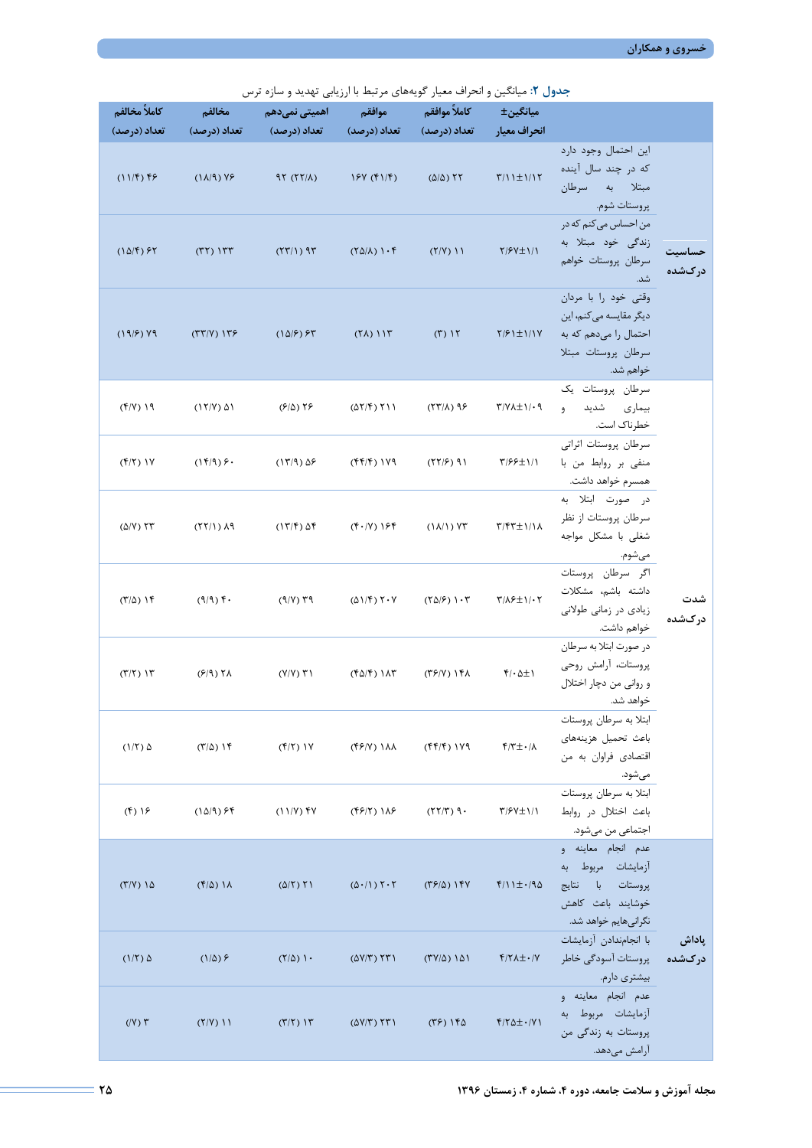|  |  |  |  | جدول ۲: میانگین و انحراف معیار گویههای مرتبط با ارزیابی تهدید و سازه ترس |  |
|--|--|--|--|--------------------------------------------------------------------------|--|
|  |  |  |  |                                                                          |  |

| كاملاً مخالفم                                       | مخالفم                    | اهمیتی نمیدهم                                    | موافقم                                                     | كاملأ موافقم                   | میانگین±                                 |                                                                                                             |                  |
|-----------------------------------------------------|---------------------------|--------------------------------------------------|------------------------------------------------------------|--------------------------------|------------------------------------------|-------------------------------------------------------------------------------------------------------------|------------------|
| تعداد (درصد)                                        | تعداد (درصد)              | تعداد (درصد)                                     | تعداد (درصد)                                               | تعداد (درصد)                   | انحراف معيار                             |                                                                                                             |                  |
| $(11/f)$ ff                                         | $(1\lambda/9)$ YE         | $97 (77/\lambda)$                                | 15Y (f)/f)                                                 | $(\Delta/\Delta)$ TT           | $\frac{1}{2}$                            | این احتمال وجود دارد<br>که در چند سال آینده<br>مبتلا به سرطان<br>پروستات شوم.                               |                  |
| $(1\Delta/\mathfrak{k})$ $\mathfrak{S}\mathfrak{k}$ | $(TY)$ $177$              | $(57/1)$ 95                                      | $(Y\Delta/\lambda)$ ) $\cdot$ $\uparrow$                   | $(Y/Y)$ 11                     | $Y/5V \pm 1/1$                           | من احساس می کنم که در<br>زندگی خود مبتلا به<br>سرطان پروستات خواهم<br>شد.                                   | حساسيت<br>درکشده |
| $(19/2)$ Y9                                         | $(TT/Y)$ $1T9$            | $(1\Delta/\mathcal{F})$ $\mathcal{F}\mathcal{T}$ | $(7\lambda)$ $117$                                         | $(1)$ $11$                     | $Y/2$ $\pm$ $1/1$                        | وقتى خود را با مردان<br>دیگر مقایسه میکنم، این<br>احتمال را میدهم که به<br>سرطان پروستات مبتلا<br>خواهم شد. |                  |
| $(Y/Y)$ 19                                          | $(17/Y)$ $\Delta 1$       | $(5/2)$ $55$                                     | $(\Delta Y/\mathfrak{F})$ $\uparrow$ $\uparrow$ $\uparrow$ | $(57/1)$ 98                    | $\Upsilon/\Upsilon \Delta \pm 1/\cdot 9$ | سرطان پروستات یک<br>بیماری شدید<br>9<br>خطرناک است.                                                         |                  |
| $(f Y)$ $\uparrow$                                  | $(1f/9)$ $f \cdot$        | $(17/9)$ $\Delta$ ۶                              | $(ff/f)$ $1Y9$                                             | (55/2)                         | $\frac{1}{2}$                            | سرطان پروستات اثراتی<br>منفی بر روابط من با<br>همسرم خواهد داشت.                                            |                  |
| $(\Delta/V)$ $\Upsilon\Upsilon$                     | (11)                      | $(17/f)$ $\Delta f$                              | $(F \cdot   V)$ 164                                        | $(1\lambda/1)$ Yr              | $Y/FY \pm 1/\lambda$                     | در صورت ابتلا به<br>سرطان پروستات از نظر<br>شغلی با مشکل مواجه<br>مىشوم.                                    |                  |
| $(T/\Delta)$ ) $\uparrow$                           | $(9/9)$ f.                | $(9/V)$ $79$                                     | $(\Delta)/f$ ) $\Upsilon \cdot V$                          | $(50/5)$ $\cdot 5$             | $\frac{1}{2}$                            | اگر سرطان پروستات<br>داشته باشم، مشكلات<br>زیادی در زمانی طولانی<br>خواهم داشت.                             | شدت<br>دركشده    |
| $(7/7)$ $17$                                        | $(5/9)$ Th                | $(Y/Y)$ $Y$ )                                    | $(f\Delta/f)$ ) $\Lambda$ ۳                                | $(Y^{\varphi}/Y)$ ) $Y\Lambda$ | $f/\cdot \Delta \pm 1$                   | در صورت ابتلا به سرطان<br>پروستات، آرامش روحی<br>و رواني من دچار اختلال<br>خواهد شد.                        |                  |
| $(1/\tau)$ $\Delta$                                 | $(T/\Delta)$ ) $\Upsilon$ | $(f Y)$ $\uparrow$ $\uparrow$                    | $(YY)$ ) $\lambda\lambda$                                  | $(ff/f)$ $1Y9$                 | $f/\tau$ +/ $\Lambda$                    | ابتلا به سرطان پروستات<br>باعث تحميل هزينههاى<br>اقتصادی فراوان به من<br>مىشود.                             |                  |
| $(f)$ $\frac{1}{2}$                                 | $(1\Delta/9)$ $55$        | $(11/Y)$ fy                                      | $($ ۴۶/۲) ۱۸۶                                              | $(77/T)$ 9.                    | $\frac{1}{2}$                            | ابتلا به سرطان پروستات<br>باعث اختلال در روابط<br>اجتماعي من ميشود.                                         |                  |
| $(T/Y)$ 1 $\Delta$                                  | $(f/\Delta)$ 1 $\Lambda$  | $(\Delta/\Upsilon)$ $\Upsilon$                   | $(\Delta \cdot / 1)$ $\uparrow \cdot \uparrow$             | $(T5/\Delta)$ 19Y              | $f/\iota \pm \iota/90$                   | عدم انجام معاينه و<br>آزمايشات مربوط به<br>پروستات با نتايج<br>خوشايند باعث كاهش<br>نگرانیهایم خواهد شد.    |                  |
| $(1/\tau)$ $\Delta$                                 | $(1/\Delta)$ ۶            | $(Y/\Delta)$ ) $\cdot$                           | $(\Delta V/T)$ $\Upsilon T$                                | $(TV/\Delta)$ 151              | $f/\Upsilon\Lambda \pm \cdot/\Upsilon$   | با انجامندادن آزمايشات<br>پروستات آسودگی خاطر<br>بیشتری دارم.                                               | پاداش<br>درکشده  |
| $(IV)$ $\tau$                                       | $(Y/Y)$ 11                | $(T/T)$ $\Upsilon$                               | $(\Delta V/T)$ $\Upsilon T$                                | $(55)$ 160                     | $f/\Upsilon \Delta \pm \cdot / \Upsilon$ | عدم انجام معاينه و<br>آزمایشات مربوط به<br>پروستات به زندگی من<br>آرامش مىدهد.                              |                  |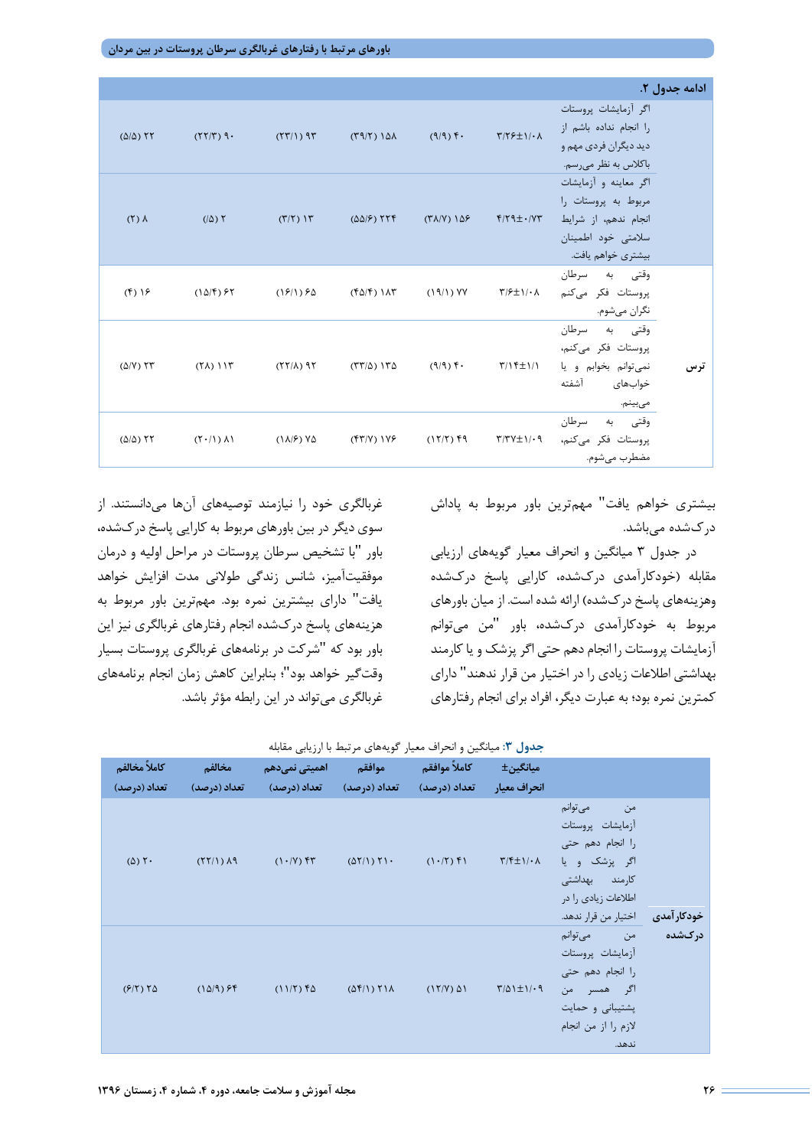**باورهاي مرتبط با رفتارهاي غربالگري سرطان پروستات در بین مردان**

|                                 |                                                     |                            |                   |                                  |                                                                      |                                                                                                                  | ادامه جدول ۲. |
|---------------------------------|-----------------------------------------------------|----------------------------|-------------------|----------------------------------|----------------------------------------------------------------------|------------------------------------------------------------------------------------------------------------------|---------------|
| $(\Delta/\Delta)$ TT            | $(77/T)$ 9.                                         | (55)                       | $(T9/T)10\lambda$ | $(9/9)$ f.                       | $Y/Y$ $\neq$ $Y \cdot \Lambda$                                       | اگر آزمایشات پروستات<br>را انجام نداده باشم از<br>ديد ديگران فردي مهم و<br>باكلاس به نظر مىرسم.                  |               |
| $(5)$ $\Lambda$                 | $( \Delta)$ ٢                                       | $(\Gamma/\Gamma)$ $\Gamma$ | ۲۲۴ (۵۵/۶)        | $(\Upsilon \Lambda/V) 1\Delta F$ | $f/T9\pm VY$                                                         | اگر معاينه و آزمايشات<br>مربوط به پروستات را<br>انجام ندهم، از شرايط<br>سلامتی خود اطمینان<br>بیشتری خواهم یافت. |               |
| $(f)$ $\frac{1}{5}$             | $(1\Delta/\mathfrak{k})$ $\mathfrak{S}\mathfrak{k}$ | ۶۵ (۱۱/۱۶)                 | ۱۸۳ (۴۵/۴)        | $(19/1)$ YY                      | $\Upsilon/\mathfrak{F} \pm \Upsilon/\mathfrak{c}$                    | وقتی به سرطان<br>پروستات فکر میکنم<br>نگران ميشوم.                                                               |               |
| $(\Delta/V)$ $\Upsilon\Upsilon$ | $(\uparrow \wedge)$ ) $\uparrow \uparrow$           | $(55/1)$ 95                | ۱۳۵ (۱۳۸)         | $(9/9)$ f $\cdot$                | $\uparrow/\uparrow \uparrow \pm \uparrow/\uparrow$                   | وقتي به سرطان<br>پروستات فکر میکنم،<br>نمی توانم بخوابم و یا<br>خوابهاى آشفته<br>مىبينم.                         | ترس           |
| $(\Delta/\Delta)$ TT            | $(Y \cdot / Y)$ $\Lambda Y$                         | $(\lambda/\epsilon)$ Ys    | ۱۷۶) (۴۳/۷        | $(17/7)$ fq                      | $\uparrow\uparrow\uparrow\uparrow\downarrow\pm\uparrow\cdot\uparrow$ | وقتي به سرطان<br>پروستات فکر میکنم،<br>مضطرب مي شوم.                                                             |               |

بیشتري خواهم یافت" مهمترین باور مربوط به پاداش دركشده میباشد.

در جدول 3 میانگین و انحراف معیار گویههاي ارزیابی مقابله (خودکارآمدي دركشده، کارایی پاسخ دركشده وهزینههاي پاسخ دركشده) ارائه شده است. از میان باورهاي مربوط به خودکارآمدي دركشده، باور "من میتوانم آزمایشات پروستات را انجام دهم حتی اگر پزشک و یا کارمند بهداشتی اطلاعات زیادي را در اختیار من قرار ندهند" داراي کمترین نمره بود؛ به عبارت دیگر، افراد براي انجام رفتارهاي

غربالگري خود را نیازمند توصیههاي آنها میدانستند. از سوي دیگر در بین باورهاي مربوط به کارایی پاسخ دركشده، باور "با تشخیص سرطان پروستات در مراحل اولیه و درمان موفقیتآمیز، شانس زندگی طولانی مدت افزایش خواهد یافت" داراي بیشترین نمره بود. مهمترین باور مربوط به هزینههاي پاسخ دركشده انجام رفتارهاي غربالگري نیز این باور بود که "شرکت در برنامههاي غربالگري پروستات بسیار وقتگیر خواهد بود"؛ بنابراین کاهش زمان انجام برنامههاي غربالگري میتواند در این رابطه مؤثر باشد.

| كاملاً مخالفم           | مخالفم               | اهمیتی نمیدهم             | موافقم                                        | كاملأ موافقم        | میانگین±                                |                                                                                                                                       |             |
|-------------------------|----------------------|---------------------------|-----------------------------------------------|---------------------|-----------------------------------------|---------------------------------------------------------------------------------------------------------------------------------------|-------------|
| تعداد (درصد)            | تعداد (درصد)         | تعداد (درصد) تعداد (درصد) |                                               | تعداد (درصد)        | انحراف معيار                            |                                                                                                                                       |             |
| $(\Delta)$ $\Upsilon$ . | $(51/1)$ $\lambda$ 9 | $(1.7)$ fr                | $(\Delta \Upsilon / \Upsilon) \Upsilon \cdot$ | $(1.77)$ f)         | $\Upsilon/\Upsilon \pm 1/\cdot \Lambda$ | من مي توانم<br>آزمايشات پروستات<br>را انجام دهم حتى<br>اگر پزشک و یا<br>كارمند بهداشتى<br>اطلاعات زيادي را در<br>اختيار من قرار ندهد. | خودکار آمدی |
| $(9/5)$ $50$            | $(1\Delta/9)$ ff     | $(11/5)$ fs               | $(\Delta f/\Gamma)$ $\Gamma$ $\Lambda$        | $(17/Y)$ $\Delta 1$ | $\frac{1}{2}$                           | من مىتوانم<br>آزمايشات پروستات<br>را انجام دهم حتى<br>اگر همسر من<br>پشتیبانی و حمایت<br>لازم را از من انجام<br>ندهد.                 | درکشده      |

|  |  |  |  | جدول ۳: میانگین و انحراف معیار گویههای مرتبط با ارزیابی مقابله |  |
|--|--|--|--|----------------------------------------------------------------|--|
|  |  |  |  |                                                                |  |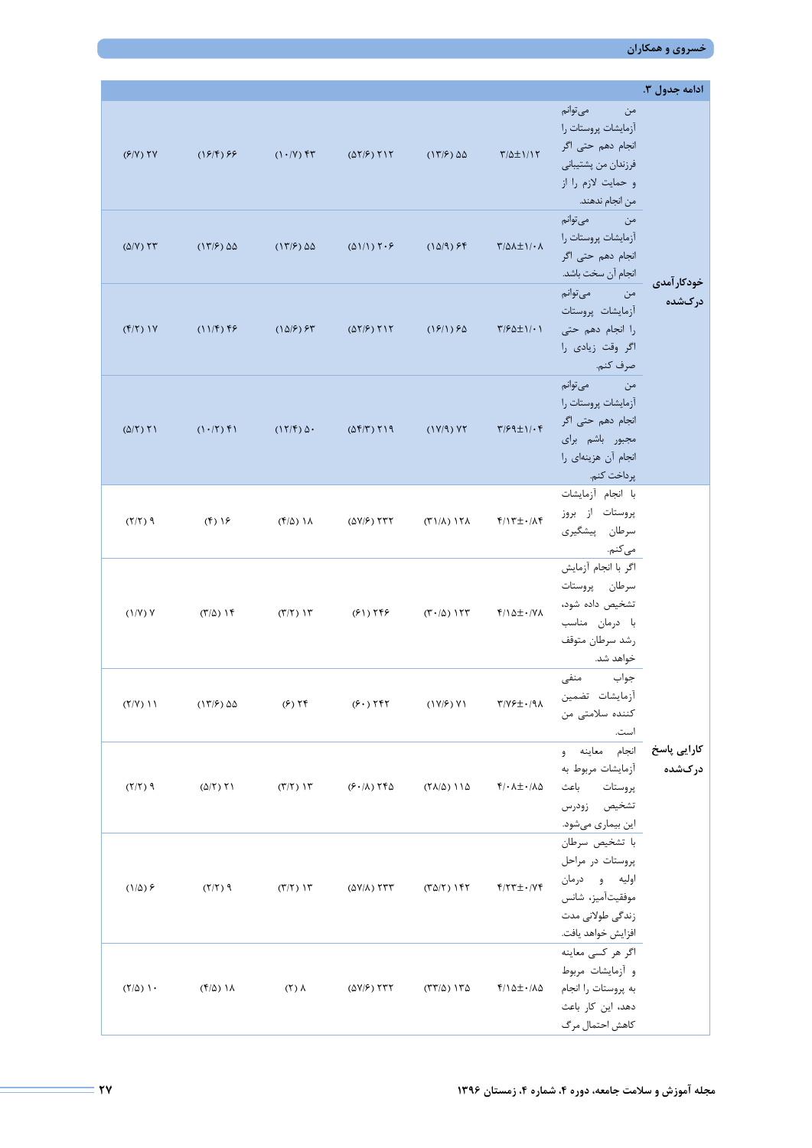**خسروي و همکاران** 

|                                 |                                |                                    |                                                                                                                  |                                           |                                                   |                                                                                                                        | ادامه جدول ۳.         |
|---------------------------------|--------------------------------|------------------------------------|------------------------------------------------------------------------------------------------------------------|-------------------------------------------|---------------------------------------------------|------------------------------------------------------------------------------------------------------------------------|-----------------------|
| $(5/N)$ TV                      | $(19/9)$ 99                    | $(1 \cdot V)$ fr                   | $(\Delta \Upsilon/\mathcal{F})$ $\Upsilon \Upsilon$                                                              | $(17/5)$ $\Delta\Delta$                   | $\frac{\mu}{2}$                                   | من مىتوانم<br>آزمایشات پروستات را<br>انجام دھم حتی اگر<br>فرزندان من پشتيباني<br>و حمايت لازم را از<br>من انجام ندهند. |                       |
| $(\Delta/V)$ $\Upsilon\Upsilon$ | $(17/5)$ $\Delta\Delta$        | $(17/5)$ $\Delta\Delta$            | $(\Delta 1/1)$ $\uparrow \uparrow \uparrow$                                                                      | $(10/9)$ $55$                             | $\frac{\mu}{2}$                                   | من مي¤وانم<br>آزمايشات پروستات را<br>انجام دھم حتی اگر<br>انجام آن سخت باشد.                                           |                       |
| $(f Y)$ $\uparrow$              | $(11/5)$ 55                    | $(10/5)$ $55$                      | $(\Delta \Upsilon/\mathcal{F})$ $\Upsilon \Upsilon$                                                              |                                           | $(19/1) 90$ $Y/90 \pm 1/11$                       | من ميتوانم<br>آزمايشات پروستات<br>را انجام دهم حتى<br>اگر وقت زيادي را<br>صرف كنم.                                     | خودکار آمدی<br>درکشده |
| $(\Delta/\Upsilon)$ $\Upsilon$  | $(1 \cdot   Y)$ f $1$          | $(17/f)$ $\Delta$ .                | $(\Delta \mathbf{f} / \mathbf{r})$ $\mathbf{f} / \mathbf{q}$                                                     | (1Y/9)YY                                  | $\frac{1}{2}$                                     | من مىتوانم<br>آزمايشات پروستات را<br>انجام دھم حتی اگر<br>مجبور باشم براى<br>انجام آن هزينهاي را<br>پرداخت كنم.        |                       |
| $(7/7)$ 9                       | $(f)$ ) $\frac{1}{5}$          | ۱۸ (۴/۵)                           | $(\Delta V/\mathcal{F})$ $\uparrow \uparrow \uparrow$ $(\uparrow \uparrow)/\Lambda)$ $\uparrow \uparrow \Lambda$ |                                           | $f/\Upsilon \pm \cdot/\Lambda f$                  | با انجام آزمايشات<br>پروستات از بروز<br>سرطان پیشگیری<br>مى كنم.                                                       |                       |
| (1/Y)Y                          | $(T/\Delta)$ ) $\Upsilon$      | $(\Upsilon/\Upsilon)$ ) $\Upsilon$ |                                                                                                                  | $(F1)$ $T5$ $(T10)$ $T5$                  | $f/\Delta \pm \cdot$ / $V\Lambda$                 | اگر با انجام آزمایش<br>سرطان پروستات<br>تشخيص داده شود،<br>با درمان مناسب<br>رشد سرطان متوقف<br>خواهد شد.              |                       |
| $(Y/Y)$ 11                      | $(17/5)$ $\Delta\Delta$        | $(6)$ $\uparrow$                   | (5.75)                                                                                                           | (1Y/F)Y1                                  | $\Upsilon/\Upsilon \neq \pm 1$                    | جواب منفى<br>أزمايشات تضمين<br>كننده سلامتى من<br>است.                                                                 |                       |
| $(7/7)$ 9                       | $(\Delta/\Upsilon)$ $\Upsilon$ | $(T/T)$ $T$                        | $(F \cdot / \Lambda)$ TFQ                                                                                        | $(YA/\Delta)$ 11 $\Delta$                 | <b>イ/・ハ<math>\pm</math>・/人<math>\Delta</math></b> | <b>کارایی پاسخ</b> انجام معاینه و<br>آزمایشات مربوط به<br>پروستات باعث<br>تشخيص زودرس<br>این بیماری میشود.             | درکشده                |
| $(1/\Delta)$ $\epsilon$         | $(7/7)$ 9                      | $(T/T)$ $\Upsilon$                 | $(\Delta V/\Lambda)$ TTT                                                                                         | $(T\Delta/\Upsilon)$ ) $\Upsilon\Upsilon$ | $f/\Upsilon \Upsilon \pm \cdot/\Upsilon f$        | با تشخيص سرطان<br>پروستات در مراحل<br>اوليه و درمان<br>موفقيتآميز، شانس<br>زندگی طولانی مدت<br>افزايش خواهد يافت.      |                       |
| $(7/\Delta)$ ).                 | $(f/\Delta)$ ) $\Lambda$       | $(5)$ $\lambda$                    | $(\Delta V/F)$ TTT                                                                                               | $(TT/\Delta)$ 1 $T\Delta$                 | ۴/۱۵±۰/۸۵                                         | اگر هر كسى معاينه<br>و آزمایشات مربوط<br>به پروستات را انجام<br>دهد، این کار باعث<br>كاهش احتمال مرگ                   |                       |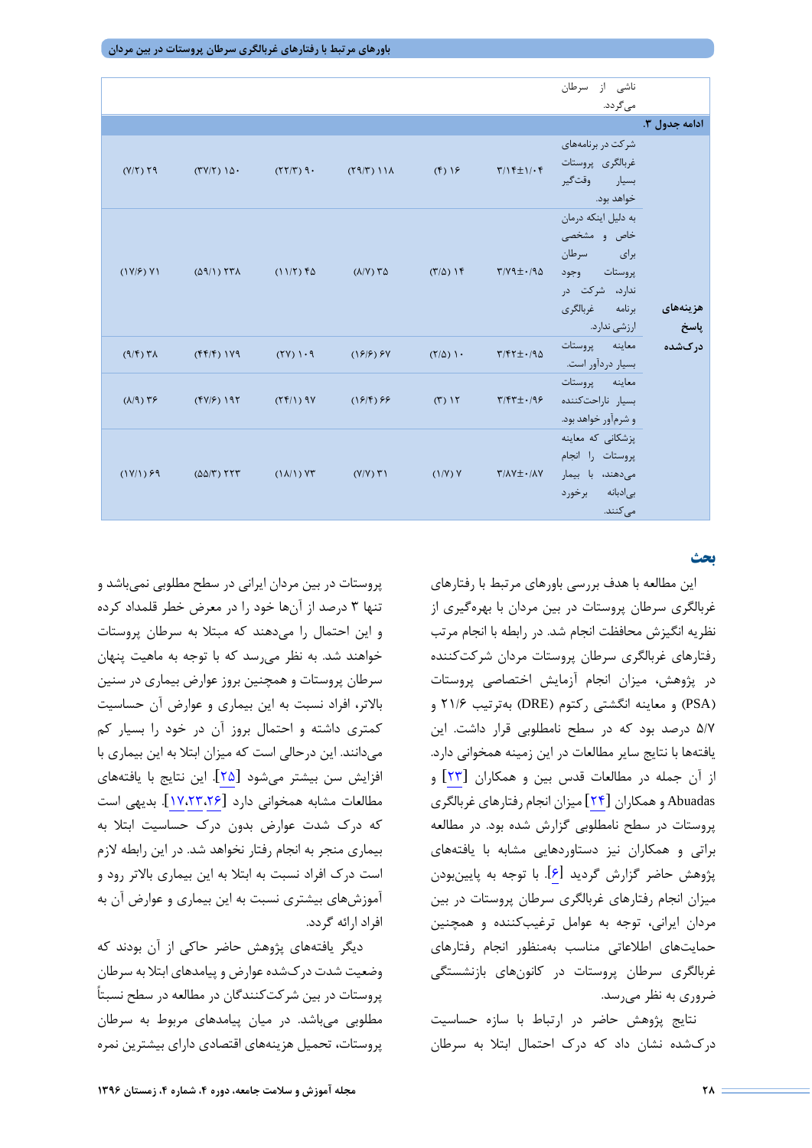|                           |                                                         |                                       |                         |                                |                                                                                       | ناشى از سرطان                                                                                         |                                      |
|---------------------------|---------------------------------------------------------|---------------------------------------|-------------------------|--------------------------------|---------------------------------------------------------------------------------------|-------------------------------------------------------------------------------------------------------|--------------------------------------|
|                           |                                                         |                                       |                         |                                |                                                                                       | می گردد.                                                                                              |                                      |
|                           |                                                         |                                       |                         |                                |                                                                                       |                                                                                                       | ادامه جدول ۳.                        |
| $(Y/Y)$ $Y9$              | (TY Y) 10.                                              | $(77/T)$ 9.                           | $(19/7)$ $11A$          | $(f)$ $\frac{1}{5}$            | $\Upsilon/\Upsilon \pm 1/\cdot \Upsilon$                                              | شرکت در برنامههای<br>غربالگرى پروستات<br>بسيار وقتگير<br>خواهد بود.                                   |                                      |
| (1Y/F)Y1                  | $(\Delta \mathcal{A}/I)$ ( $\mathcal{H}\Lambda$         | $(11/T)$ fs                           | $(\lambda/\Upsilon)$ ۳۵ | $(\Gamma/\Delta)$ ) $\Upsilon$ | $\Gamma/\Upsilon$ $\Gamma$                                                            | به دلیل اینکه درمان<br>خاص و مشخصی<br>برای سرطان<br>پروستات وجود<br>ندارد، شرکت در<br>برنامه غربالگرى | هزينههاى<br><b>پاسخ</b> ارزشی ندارد. |
| $(9/5)$ $\forall \lambda$ | $(ff/f)$ $1V9$                                          | (51)                                  | $(199)$ $94$            | $(\Upsilon/\Delta)$ ) $\cdot$  | $\Upsilon/\Upsilon\Upsilon \pm \cdot$ /94                                             | معاينه پروستات<br>بسیار دردآور است.                                                                   | درکشده                               |
| $(\lambda/9)$ ۳۶          | $(Y Y S)$ 197                                           | $(Yf/1)$ 9Y                           | $(195)$ 99              | $(T)$ $\Upsilon$               | $\Upsilon/\Upsilon\Upsilon \pm 1/\Upsilon$                                            | معاينه پروستات<br>بسيار ناراحتكننده<br>و شرمآور خواهد بود.                                            |                                      |
| $(1Y/1)$ $59$             | $(\Delta \Delta/\Upsilon)$ $\Upsilon \Upsilon \Upsilon$ | $(\lambda/\lambda)$ $\lambda \lambda$ | $(Y/Y)$ $Y$             | (1/Y)Y                         | $\mathsf{Y}/\mathsf{\Lambda}\mathsf{Y} \pm \mathsf{\cdot}/\mathsf{\Lambda}\mathsf{Y}$ | یزشکانی که معاینه<br>پروستات را انجام<br>میدهند، با بیمار<br>بى دبانه برخورد<br>مے کنند.              |                                      |

#### **بحث**

این مطالعه با هدف بررسی باورهاي مرتبط با رفتارهاي غربالگري سرطان پروستات در بین مردان با بهرهگیري از نظریه انگیزش محافظت انجام شد. در رابطه با انجام مرتب رفتارهاي غربالگري سرطان پروستات مردان شرکتکننده در پژوهش، میزان انجام آزمایش اختصاصی پروستات (PSA (و معاینه انگشتی رکتوم (DRE (بهترتیب 21/6 و 5/7 درصد بود که در سطح نامطلوبی قرار داشت. این یافتهها با نتایج سایر مطالعات در این زمینه همخوانی دارد. از آن جمله در مطالعات قدس بین و همکاران [\[](#page-10-22)[23](#page-10-22)] و Abuadas و همکاران [\[](#page-10-23)[24](#page-10-23)] میزان انجام رفتارهاي غربالگري پروستات در سطح نامطلوبی گزارش شده بود. در مطالعه براتی و همکاران نیز دستاوردهایی مشابه با یافتههاي پژوهش حاضر گزارش گردید [\[6\]](#page-10-5). با توجه به پایینبودن میزان انجام رفتارهاي غربالگري سرطان پروستات در بین مردان ایرانی، توجه به عوامل ترغیبکننده و همچنین حمایتهاي اطلاعاتی مناسب بهمنظور انجام رفتارهاي غربالگري سرطان پروستات در کانونهاي بازنشستگی ضروري به نظر میرسد.

نتایج پژوهش حاضر در ارتباط با سازه حساسیت دركشده نشان داد که درك احتمال ابتلا به سرطان

پروستات در بین مردان ایرانی در سطح مطلوبی نمیباشد و تنها 3 درصد از آنها خود را در معرض خطر قلمداد کرده و این احتمال را میدهند که مبتلا به سرطان پروستات خواهند شد. به نظر میرسد که با توجه به ماهیت پنهان سرطان پروستات و همچنین بروز عوارض بیماري در سنین بالاتر، افراد نسبت به این بیماري و عوارض آن حساسیت کمتري داشته و احتمال بروز آن در خود را بسیار کم میدانند. این درحالی است که میزان ابتلا به این بیماري با افزایش سن بیشتر میشود [\[](#page-10-24)[25](#page-10-24)]. این نتایج با یافتههاي مطالعات مشابه همخوانی دارد [\[](#page-10-25)[17،](#page-10-25)[23](#page-10-22)[،26](#page-10-16)]. بدیهی است که درك شدت عوارض بدون درك حساسیت ابتلا به بیماري منجر به انجام رفتار نخواهد شد. در این رابطه لازم است درك افراد نسبت به ابتلا به این بیماري بالاتر رود و آموزشهاي بیشتري نسبت به این بیماري و عوارض آن به افراد ارائه گردد.

دیگر یافتههاي پژوهش حاضر حاکی از آن بودند که وضعیت شدت دركشده عوارض و پیامدهاي ابتلا به سرطان پروستات در بین شرکتکنندگان در مطالعه در سطح نسبتاً مطلوبی میباشد. در میان پیامدهاي مربوط به سرطان پروستات، تحمیل هزینههاي اقتصادي داراي بیشترین نمره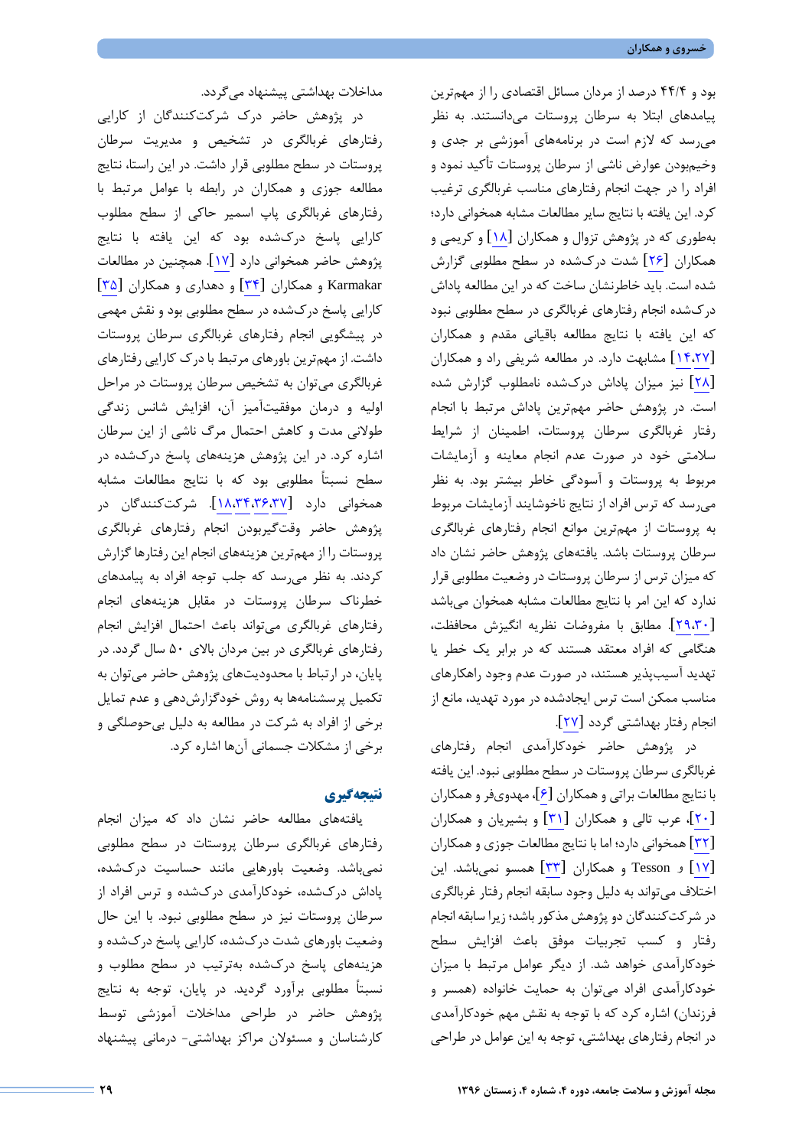بود و 44/4 درصد از مردان مسائل اقتصادي را از مهمترین پیامدهاي ابتلا به سرطان پروستات میدانستند. به نظر میرسد که لازم است در برنامههاي آموزشی بر جدي و وخیمبودن عوارض ناشی از سرطان پروستات تأکید نمود و افراد را در جهت انجام رفتارهاي مناسب غربالگري ترغیب کرد. این یافته با نتایج سایر مطالعات مشابه همخوانی دارد؛ بهطوري که در پژوهش تزوال و همکاران [\[](#page-10-17)[18](#page-10-17)] و کریمی و همکاران[[26](#page-10-25)] شدت دركشده در سطح مطلوبی گزارش شده است. باید خاطرنشان ساخت که در این مطالعه پاداش دركشده انجام رفتارهاي غربالگري در سطح مطلوبی نبود که این یافته با نتایج مطالعه باقیانی مقدم و همکاران [\[](#page-10-26)[14](#page-10-26)[،27](#page-10-13)] مشابهت دارد. در مطالعه شریفی راد و همکاران [\[](#page-10-27)[28](#page-10-27)] نیز میزان پاداش دركشده نامطلوب گزارش شده است. در پژوهش حاضر مهمترین پاداش مرتبط با انجام رفتار غربالگري سرطان پروستات، اطمینان از شرایط سلامتی خود در صورت عدم انجام معاینه و آزمایشات مربوط به پروستات و آسودگی خاطر بیشتر بود. به نظر میرسد که ترس افراد از نتایج ناخوشایند آزمایشات مربوط به پروستات از مهمترین موانع انجام رفتارهاي غربالگري سرطان پروستات باشد. یافتههاي پژوهش حاضر نشان داد که میزان ترس از سرطان پروستات در وضعیت مطلوبی قرار ندارد که این امر با نتایج مطالعات مشابه همخوان میباشد [\[](#page-11-1)[29](#page-11-1)[،30](#page-11-0)]. مطابق با مفروضات نظریه انگیزش محافظت، هنگامی که افراد معتقد هستند که در برابر یک خطر یا تهدید آسیبپذیر هستند، در صورت عدم وجود راهکارهاي مناسب ممکن است ترس ایجادشده در مورد تهدید، مانع از انجام رفتار بهداشتی گردد [\[](#page-10-26)[27](#page-10-26)].

در پژوهش حاضر خودکارآمدي انجام رفتارهاي غربالگري سرطان پروستات در سطح مطلوبی نبود. این یافته با نتایج مطالعات براتی و همکاران [\[](#page-10-5)[6](#page-10-5)]، مهدويفر و همکاران [\[](#page-10-19)[20](#page-10-19)]، عرب تالی و همکاران[[31](#page-11-2)] و بشیریان و همکاران [\[](#page-11-3)[32](#page-11-3)] همخوانی دارد؛ اما با نتایج مطالعات جوزي و همکاران [\[](#page-10-16)[17](#page-10-16)] و Tesson و همکاران [\[](#page-11-4)[33](#page-11-4)] همسو نمیباشد. این اختلاف میتواند به دلیل وجود سابقه انجام رفتار غربالگري در شرکتکنندگان دو پژوهش مذکور باشد؛ زیرا سابقه انجام رفتار و کسب تجربیات موفق باعث افزایش سطح خودکارآمدي خواهد شد. از دیگر عوامل مرتبط با میزان خودکارآمدي افراد میتوان به حمایت خانواده (همسر و فرزندان) اشاره کرد که با توجه به نقش مهم خودکارآمدي در انجام رفتارهاي بهداشتی، توجه به این عوامل در طراحی

مداخلات بهداشتی پیشنهاد میگردد.

در پژوهش حاضر درك شرکتکنندگان از کارایی رفتارهاي غربالگري در تشخیص و مدیریت سرطان پروستات در سطح مطلوبی قرار داشت. در این راستا، نتایج مطالعه جوزي و همکاران در رابطه با عوامل مرتبط با رفتارهاي غربالگري پاپ اسمیر حاکی از سطح مطلوب کارایی پاسخ دركشده بود که این یافته با نتایج پژوهش حاضر همخوانی دارد [[17](#page-10-16)]. همچنین در مطالعات Karmakar و همکاران [\[](#page-11-5)[34](#page-11-5)] و دهداري و همکاران [\[](#page-11-6)[35](#page-11-6)] کارایی پاسخ دركشده در سطح مطلوبی بود و نقش مهمی در پیشگویی انجام رفتارهاي غربالگري سرطان پروستات داشت. از مهمترین باورهاي مرتبط با درك کارایی رفتارهاي غربالگري میتوان به تشخیص سرطان پروستات در مراحل اولیه و درمان موفقیتآمیز آن، افزایش شانس زندگی طولانی مدت و کاهش احتمال مرگ ناشی از این سرطان اشاره کرد. در این پژوهش هزینههاي پاسخ دركشده در سطح نسبتاً مطلوبی بود که با نتایج مطالعات مشابه همخوانی دارد [\[](#page-11-8)[18](#page-11-8)[،34](#page-11-7)[،36](#page-11-5)[،37](#page-10-17)]. شرکتکنندگان در پژوهش حاضر وقتگیربودن انجام رفتارهاي غربالگري پروستات را از مهمترین هزینههاي انجام این رفتارها گزارش کردند. به نظر میرسد که جلب توجه افراد به پیامدهاي خطرناك سرطان پروستات در مقابل هزینههاي انجام رفتارهاي غربالگري میتواند باعث احتمال افزایش انجام رفتارهاي غربالگري در بین مردان بالاي 50 سال گردد. در پایان، در ارتباط با محدودیتهاي پژوهش حاضر میتوان به تکمیل پرسشنامهها به روش خودگزارشدهی و عدم تمایل برخی از افراد به شرکت در مطالعه به دلیل بیحوصلگی و برخی از مشکلات جسمانی آنها اشاره کرد.

#### **نتیجهگیري**

یافتههاي مطالعه حاضر نشان داد که میزان انجام رفتارهاي غربالگري سرطان پروستات در سطح مطلوبی نمیباشد. وضعیت باورهایی مانند حساسیت دركشده، پاداش دركشده، خودکارآمدي دركشده و ترس افراد از سرطان پروستات نیز در سطح مطلوبی نبود. با این حال وضعیت باورهاي شدت دركشده، کارایی پاسخ دركشده و هزینههاي پاسخ دركشده بهترتیب در سطح مطلوب و نسبتاً مطلوبی برآورد گردید. در پایان، توجه به نتایج پژوهش حاضر در طراحی مداخلات آموزشی توسط کارشناسان و مسئولان مراکز بهداشتی- درمانی پیشنهاد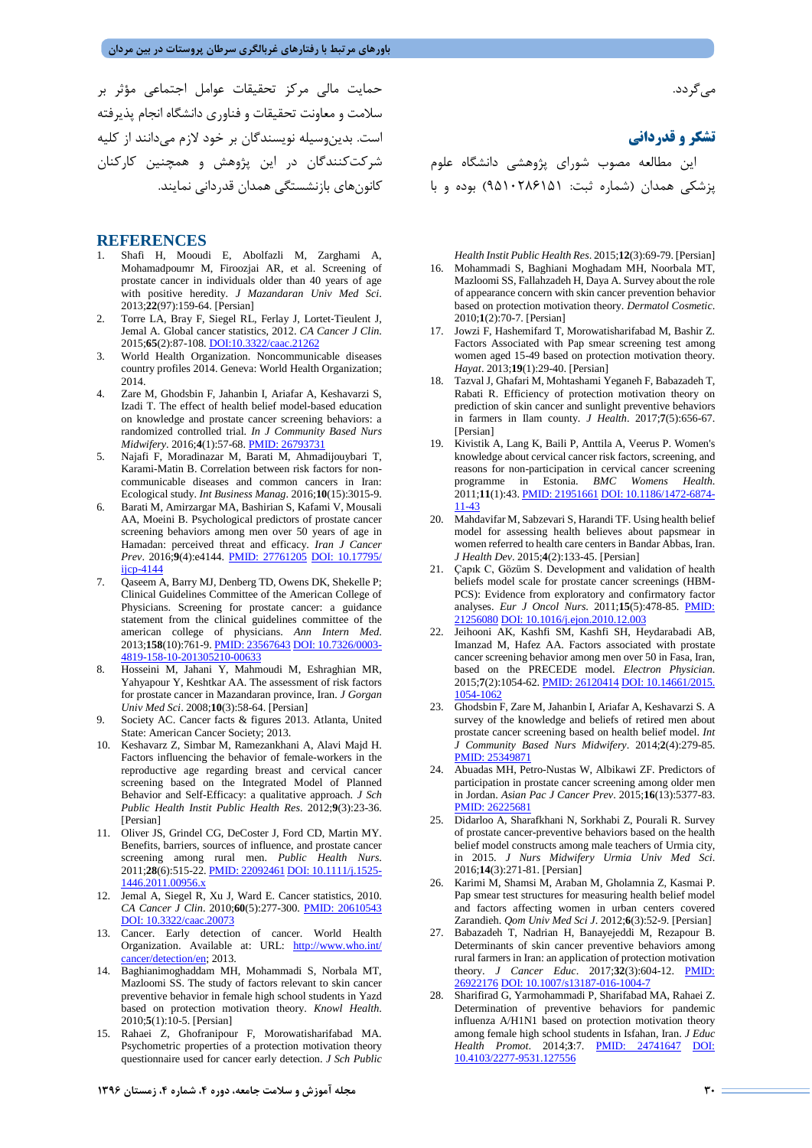حمایت مالی مرکز تحقیقات عوامل اجتماعی مؤثر بر سلامت و معاونت تحقیقات و فناوري دانشگاه انجام پذیرفته است. بدینوسیله نویسندگان بر خود لازم میدانند از کلیه شرکتکنندگان در این پژوهش و همچنین کارکنان کانونهاي بازنشستگی همدان قدردانی نمایند.

#### **REFERENCES**

- <span id="page-10-0"></span>1. Shafi H, Mooudi E, Abolfazli M, Zarghami A, Mohamadpoumr M, Firoozjai AR, et al. Screening of prostate cancer in individuals older than 40 years of age with positive heredity. *J Mazandaran Univ Med Sci*. 2013;**22**(97):159-64. [Persian]
- <span id="page-10-1"></span>2. Torre LA, Bray F, Siegel RL, Ferlay J, Lortet‐Tieulent J, Jemal A. Global cancer statistics, 2012. *CA Cancer J Clin*. 2015;**65**(2):87-108[. DOI:10.3322/caac.21262](https://onlinelibrary.wiley.com/doi/full/10.3322/caac.21262)
- <span id="page-10-2"></span>3. World Health Organization. Noncommunicable diseases country profiles 2014. Geneva: World Health Organization; 2014.
- <span id="page-10-3"></span>4. Zare M, Ghodsbin F, Jahanbin I, Ariafar A, Keshavarzi S, Izadi T. The effect of health belief model-based education on knowledge and prostate cancer screening behaviors: a randomized controlled trial. *In J Community Based Nurs Midwifery*. 2016;**4**(1):57-68[. PMID: 26793731](https://www.ncbi.nlm.nih.gov/pubmed/?term=The+Effect+of+Health+Belief+Model-Based+Education+on+Knowledge+and+Prostate+Cancer+Screening+Behaviors%3A+A+Randomized+Controlled+Trial)
- <span id="page-10-4"></span>5. Najafi F, Moradinazar M, Barati M, Ahmadijouybari T, Karami-Matin B. Correlation between risk factors for noncommunicable diseases and common cancers in Iran: Ecological study. *Int Business Manag*. 2016;**10**(15):3015-9.
- <span id="page-10-5"></span>6. Barati M, Amirzargar MA, Bashirian S, Kafami V, Mousali AA, Moeini B. Psychological predictors of prostate cancer screening behaviors among men over 50 years of age in Hamadan: perceived threat and efficacy. *Iran J Cancer Prev*. 2016;**9**(4):e4144. [PMID: 27761205](https://www.ncbi.nlm.nih.gov/pubmed/?term=Psychological+Predictors+of+Prostate+Cancer+Screening+Behaviors+Among+Men+Over+50+Years+of+Age+in+Hamadan%3A+Perceived+Threat+and+Efficacy) [DOI: 10.17795/](https://doi.org/10.17795/ijcp-4144) iicp-4144
- <span id="page-10-6"></span>7. Qaseem A, Barry MJ, Denberg TD, Owens DK, Shekelle P; Clinical Guidelines Committee of the American College of Physicians. Screening for prostate cancer: a guidance statement from the clinical guidelines committee of the american college of physicians. *Ann Intern Med*. 2013;**158**(10):761-9. PMID: [23567643](https://www.ncbi.nlm.nih.gov/pubmed/?term=the+Clinical+Guidelines+Committee+of+the+American+College+of+P.+Screening+for+prostate+cancer%3A+A+guidance+statement+from+the+clinical+guidelines+committee+of+the+american+college+of+physicians) [DOI: 10.7326/0003-](https://doi.org/10.7326/0003-4819-158-10-201305210-00633) [4819-158-10-201305210-00633](https://doi.org/10.7326/0003-4819-158-10-201305210-00633)
- <span id="page-10-7"></span>8. Hosseini M, Jahani Y, Mahmoudi M, Eshraghian MR, Yahyapour Y, Keshtkar AA. The assessment of risk factors for prostate cancer in Mazandaran province, Iran. *J Gorgan Univ Med Sci*. 2008;**10**(3):58-64. [Persian]
- <span id="page-10-8"></span>9. Society AC. Cancer facts & figures 2013. Atlanta, United State: American Cancer Society; 2013.
- <span id="page-10-9"></span>10. Keshavarz Z, Simbar M, Ramezankhani A, Alavi Majd H. Factors influencing the behavior of female-workers in the reproductive age regarding breast and cervical cancer screening based on the Integrated Model of Planned Behavior and Self-Efficacy: a qualitative approach. *J Sch Public Health Instit Public Health Res*. 2012;**9**(3):23-36. [Persian]
- <span id="page-10-10"></span>11. Oliver JS, Grindel CG, DeCoster J, Ford CD, Martin MY. Benefits, barriers, sources of influence, and prostate cancer screening among rural men. *Public Health Nurs*. 2011;**28**(6):515-22[. PMID: 22092461](https://www.ncbi.nlm.nih.gov/pubmed/?term=Benefits%2C+barriers%2C+sources+of+influence%2C+and+prostate+cancer+screening+among+rural+men.) [DOI: 10.1111/j.1525-](https://doi.org/10.1111/j.1525-1446.2011.00956.x) [1446.2011.00956.x](https://doi.org/10.1111/j.1525-1446.2011.00956.x)
- <span id="page-10-11"></span>12. Jemal A, Siegel R, Xu J, Ward E. Cancer statistics, 2010. *CA Cancer J Clin*. 2010;**60**(5):277-300. [PMID: 20610543](https://www.ncbi.nlm.nih.gov/pubmed/?term=Jemal+A%2C+Siegel+R%2C+Xu+J%2C+Ward+E.+Cancer+statistics%2C+2010) DOI: [10.3322/caac.20073](http://mr.crossref.org/iPage?doi=10.3322%2Fcaac.20073)
- <span id="page-10-12"></span>13. Cancer. Early detection of cancer. World Health Organization. Available at: URL: [http://www.who.int/](http://www.who.int/cancer/detection/en) [cancer/detection/en;](http://www.who.int/cancer/detection/en) 2013.
- <span id="page-10-13"></span>14. Baghianimoghaddam MH, Mohammadi S, Norbala MT, Mazloomi SS. The study of factors relevant to skin cancer preventive behavior in female high school students in Yazd based on protection motivation theory. *Knowl Health*. 2010;**5**(1):10-5. [Persian]
- <span id="page-10-14"></span>15. Rahaei Z, Ghofranipour F, Morowatisharifabad MA. Psychometric properties of a protection motivation theory questionnaire used for cancer early detection. *J Sch Public*

مے گر دد.

**تشکر و قدردانی**

این مطالعه مصوب شوراي پژوهشی دانشگاه علوم پزشکی همدان (شماره ثبت: 9510286151) بوده و با

<span id="page-10-15"></span>*Health Instit Public Health Res*. 2015;**12**(3):69-79. [Persian] 16. Mohammadi S, Baghiani Moghadam MH, Noorbala MT, Mazloomi SS, Fallahzadeh H, Daya A. Survey about the role of appearance concern with skin cancer prevention behavior based on protection motivation theory. *Dermatol Cosmetic*. 2010;**1**(2):70-7. [Persian]

- <span id="page-10-16"></span>17. Jowzi F, Hashemifard T, Morowatisharifabad M, Bashir Z. Factors Associated with Pap smear screening test among women aged 15-49 based on protection motivation theory. *Hayat*. 2013;**19**(1):29-40. [Persian]
- <span id="page-10-17"></span>18. Tazval J, Ghafari M, Mohtashami Yeganeh F, Babazadeh T, Rabati R. Efficiency of protection motivation theory on prediction of skin cancer and sunlight preventive behaviors in farmers in Ilam county. *J Health*. 2017;**7**(5):656-67. [Persian]
- <span id="page-10-18"></span>19. Kivistik A, Lang K, Baili P, Anttila A, Veerus P. Women's knowledge about cervical cancer risk factors, screening, and reasons for non-participation in cervical cancer screening programme in Estonia. *BMC Womens Health*. 2011;**11**(1):43[. PMID: 21951661](https://www.ncbi.nlm.nih.gov/pubmed/?term=Women%27s+knowledge+about+cervical+cancer+risk+factors%2C+screening%2C+and+reasons+for+non-participation+in+cervical+cancer+screening+programme+in+Estonia.) [DOI: 10.1186/1472-6874-](https://doi.org/10.1186/1472-6874-11-43) [11-43](https://doi.org/10.1186/1472-6874-11-43)
- <span id="page-10-19"></span>20. Mahdavifar M, Sabzevari S, Harandi TF. Using health belief model for assessing health believes about papsmear in women referred to health care centers in Bandar Abbas, Iran. *J Health Dev*. 2015;**4**(2):133-45. [Persian]
- <span id="page-10-20"></span>21. Çapık C, Gözüm S. Development and validation of health beliefs model scale for prostate cancer screenings (HBM-PCS): Evidence from exploratory and confirmatory factor analyses. *Eur J Oncol Nurs*. 2011;**15**(5):478-85. [PMID:](https://www.ncbi.nlm.nih.gov/pubmed/?term=.+Development+and+validation+of+health+beliefs+model+scale+for+prostate+cancer+screenings+(HBM-PCS)%3A+Evidence+from+exploratory+and+confirmatory+factor+analyses.)  [21256080](https://www.ncbi.nlm.nih.gov/pubmed/?term=.+Development+and+validation+of+health+beliefs+model+scale+for+prostate+cancer+screenings+(HBM-PCS)%3A+Evidence+from+exploratory+and+confirmatory+factor+analyses.) [DOI: 10.1016/j.ejon.2010.12.003](https://doi.org/10.1016/j.ejon.2010.12.003)
- <span id="page-10-21"></span>22. Jeihooni AK, Kashfi SM, Kashfi SH, Heydarabadi AB, Imanzad M, Hafez AA. Factors associated with prostate cancer screening behavior among men over 50 in Fasa, Iran, based on the PRECEDE model. *Electron Physician*. 2015;**7**(2):1054-62. [PMID: 26120414](https://www.ncbi.nlm.nih.gov/pubmed/?term=Factors+associated+with+prostate+cancer+screening+behavior+among+men+over+50+in+Fasa%2C+Iran%2C+based+on+the+PRECEDE+model) [DOI: 10.14661/2015.](https://doi.org/10.14661/2015.1054-1062) [1054-1062](https://doi.org/10.14661/2015.1054-1062)
- <span id="page-10-22"></span>23. Ghodsbin F, Zare M, Jahanbin I, Ariafar A, Keshavarzi S. A survey of the knowledge and beliefs of retired men about prostate cancer screening based on health belief model. *Int J Community Based Nurs Midwifery*. 2014;**2**(4):279-85. [PMID: 25349871](https://www.ncbi.nlm.nih.gov/pubmed/?term=A+Survey+of+the+Knowledge+and+Beliefs+of+Retired+Men+about+Prostate+Cancer+Screening+Based+on+Health+Belief+Model.)
- <span id="page-10-23"></span>24. Abuadas MH, Petro-Nustas W, Albikawi ZF. Predictors of participation in prostate cancer screening among older men in Jordan. *Asian Pac J Cancer Prev*. 2015;**16**(13):5377-83. [PMID: 26225681](https://www.ncbi.nlm.nih.gov/pubmed/?term=Predictors+of+participation+in+prostate+cancer+screening+among+older+men+in+Jordan)
- <span id="page-10-24"></span>25. Didarloo A, Sharafkhani N, Sorkhabi Z, Pourali R. Survey of prostate cancer-preventive behaviors based on the health belief model constructs among male teachers of Urmia city, in 2015. *J Nurs Midwifery Urmia Univ Med Sci*. 2016;**14**(3):271-81. [Persian]
- <span id="page-10-25"></span>26. Karimi M, Shamsi M, Araban M, Gholamnia Z, Kasmai P. Pap smear test structures for measuring health belief model and factors affecting women in urban centers covered Zarandieh. *Qom Univ Med Sci J*. 2012;**6**(3):52-9. [Persian]
- <span id="page-10-26"></span>27. Babazadeh T, Nadrian H, Banayejeddi M, Rezapour B. Determinants of skin cancer preventive behaviors among rural farmers in Iran: an application of protection motivation theory. *J Cancer Educ*. 2017;**32**(3):604-12. [PMID:](https://www.ncbi.nlm.nih.gov/pubmed/?term=Determinants+of+Skin+Cancer+Preventive+Behaviors+Among+Rural+Farmers+in+Iran%3A+an+Application+of+Protection+Motivation+Theory.)  [26922176](https://www.ncbi.nlm.nih.gov/pubmed/?term=Determinants+of+Skin+Cancer+Preventive+Behaviors+Among+Rural+Farmers+in+Iran%3A+an+Application+of+Protection+Motivation+Theory.) [DOI: 10.1007/s13187-016-1004-7](https://doi.org/10.1007/s13187-016-1004-7)
- <span id="page-10-27"></span>28. Sharifirad G, Yarmohammadi P, Sharifabad MA, Rahaei Z. Determination of preventive behaviors for pandemic influenza A/H1N1 based on protection motivation theory among female high school students in Isfahan, Iran. *J Educ Health Promot*. 2014;**3**:7. [PMID: 24741647](https://www.ncbi.nlm.nih.gov/pubmed/?term=Determination+of+preventive+behaviors+for+pandemic+influenza+A%2FH1N1+based+on+protection+motivation+theory+among+female+high+school+students+in+Isfahan%2C+Iran.) [DOI:](https://doi.org/10.4103/2277-9531.127556)  [10.4103/2277-9531.127556](https://doi.org/10.4103/2277-9531.127556)